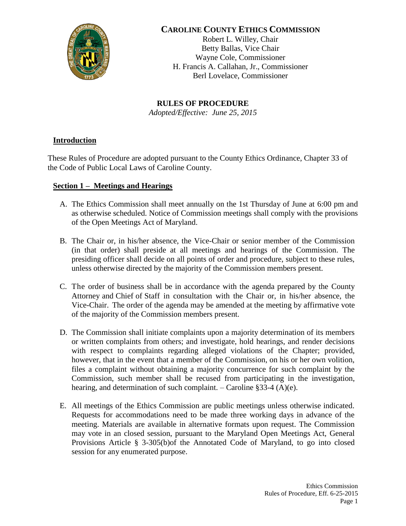

# **CAROLINE COUNTY ETHICS COMMISSION**

Robert L. Willey, Chair Betty Ballas, Vice Chair Wayne Cole, Commissioner H. Francis A. Callahan, Jr., Commissioner Berl Lovelace, Commissioner

**RULES OF PROCEDURE** *Adopted/Effective: June 25, 2015*

# **Introduction**

These Rules of Procedure are adopted pursuant to the County Ethics Ordinance, Chapter 33 of the Code of Public Local Laws of Caroline County.

# **Section 1 – Meetings and Hearings**

- A. The Ethics Commission shall meet annually on the 1st Thursday of June at 6:00 pm and as otherwise scheduled. Notice of Commission meetings shall comply with the provisions of the Open Meetings Act of Maryland.
- B. The Chair or, in his/her absence, the Vice-Chair or senior member of the Commission (in that order) shall preside at all meetings and hearings of the Commission. The presiding officer shall decide on all points of order and procedure, subject to these rules, unless otherwise directed by the majority of the Commission members present.
- C. The order of business shall be in accordance with the agenda prepared by the County Attorney and Chief of Staff in consultation with the Chair or, in his/her absence, the Vice-Chair. The order of the agenda may be amended at the meeting by affirmative vote of the majority of the Commission members present.
- D. The Commission shall initiate complaints upon a majority determination of its members or written complaints from others; and investigate, hold hearings, and render decisions with respect to complaints regarding alleged violations of the Chapter; provided, however, that in the event that a member of the Commission, on his or her own volition, files a complaint without obtaining a majority concurrence for such complaint by the Commission, such member shall be recused from participating in the investigation, hearing, and determination of such complaint. – Caroline  $\S 33-4$  (A)(e).
- E. All meetings of the Ethics Commission are public meetings unless otherwise indicated. Requests for accommodations need to be made three working days in advance of the meeting. Materials are available in alternative formats upon request. The Commission may vote in an closed session, pursuant to the Maryland Open Meetings Act, General Provisions Article § 3-305(b)of the Annotated Code of Maryland, to go into closed session for any enumerated purpose.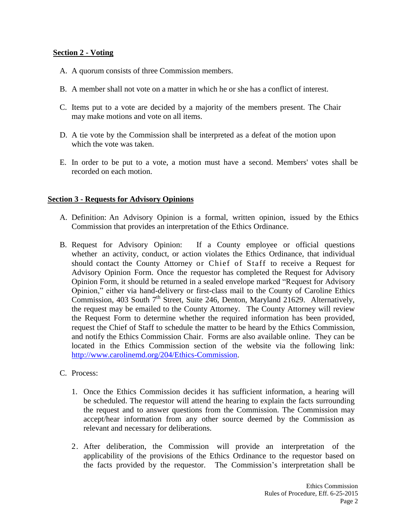### **Section 2 - Voting**

- A. A quorum consists of three Commission members.
- B. A member shall not vote on a matter in which he or she has a conflict of interest.
- C. Items put to a vote are decided by a majority of the members present. The Chair may make motions and vote on all items.
- D. A tie vote by the Commission shall be interpreted as a defeat of the motion upon which the vote was taken.
- E. In order to be put to a vote, a motion must have a second. Members' votes shall be recorded on each motion.

### **Section 3 - Requests for Advisory Opinions**

- A. Definition: An Advisory Opinion is a formal, written opinion, issued by the Ethics Commission that provides an interpretation of the Ethics Ordinance.
- B. Request for Advisory Opinion: If a County employee or official questions whether an activity, conduct, or action violates the Ethics Ordinance, that individual should contact the County Attorney or Chief of Staff to receive a Request for Advisory Opinion Form. Once the requestor has completed the Request for Advisory Opinion Form, it should be returned in a sealed envelope marked "Request for Advisory Opinion," either via hand-delivery or first-class mail to the County of Caroline Ethics Commission, 403 South  $7<sup>th</sup>$  Street, Suite 246, Denton, Maryland 21629. Alternatively, the request may be emailed to the County Attorney. The County Attorney will review the Request Form to determine whether the required information has been provided, request the Chief of Staff to schedule the matter to be heard by the Ethics Commission, and notify the Ethics Commission Chair. Forms are also available online. They can be located in the Ethics Commission section of the website via the following link: [http://www.carolinemd.org/204/Ethics-Commission.](http://www.carolinemd.org/204/Ethics-Commission)

#### C. Process:

- 1. Once the Ethics Commission decides it has sufficient information, a hearing will be scheduled. The requestor will attend the hearing to explain the facts surrounding the request and to answer questions from the Commission. The Commission may accept/hear information from any other source deemed by the Commission as relevant and necessary for deliberations.
- 2. After deliberation, the Commission will provide an interpretation of the applicability of the provisions of the Ethics Ordinance to the requestor based on the facts provided by the requestor. The Commission's interpretation shall be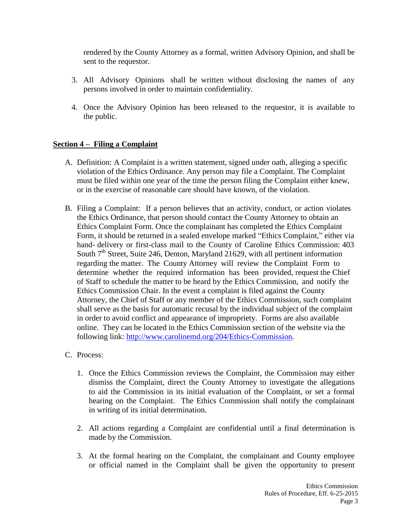rendered by the County Attorney as a formal, written Advisory Opinion, and shall be sent to the requestor.

- 3. All Advisory Opinions shall be written without disclosing the names of any persons involved in order to maintain confidentiality.
- 4. Once the Advisory Opinion has been released to the requestor, it is available to the public.

# **Section 4 – Filing a Complaint**

- A. Definition: A Complaint is a written statement, signed under oath, alleging a specific violation of the Ethics Ordinance. Any person may file a Complaint. The Complaint must be filed within one year of the time the person filing the Complaint either knew, or in the exercise of reasonable care should have known, of the violation.
- B. Filing a Complaint: If a person believes that an activity, conduct, or action violates the Ethics Ordinance, that person should contact the County Attorney to obtain an Ethics Complaint Form. Once the complainant has completed the Ethics Complaint Form, it should be returned in a sealed envelope marked "Ethics Complaint," either via hand- delivery or first-class mail to the County of Caroline Ethics Commission: 403 South  $7<sup>th</sup>$  Street, Suite 246, Denton, Maryland 21629, with all pertinent information regarding the matter. The County Attorney will review the Complaint Form to determine whether the required information has been provided, request the Chief of Staff to schedule the matter to be heard by the Ethics Commission, and notify the Ethics Commission Chair. In the event a complaint is filed against the County Attorney, the Chief of Staff or any member of the Ethics Commission, such complaint shall serve as the basis for automatic recusal by the individual subject of the complaint in order to avoid conflict and appearance of impropriety. Forms are also available online. They can be located in the Ethics Commission section of the website via the following link: [http://www.carolinemd.org/204/Ethics-Commission.](http://www.carolinemd.org/204/Ethics-Commission)

### C. Process:

- 1. Once the Ethics Commission reviews the Complaint, the Commission may either dismiss the Complaint, direct the County Attorney to investigate the allegations to aid the Commission in its initial evaluation of the Complaint, or set a formal hearing on the Complaint. The Ethics Commission shall notify the complainant in writing of its initial determination.
- 2. All actions regarding a Complaint are confidential until a final determination is made by the Commission.
- 3. At the formal hearing on the Complaint, the complainant and County employee or official named in the Complaint shall be given the opportunity to present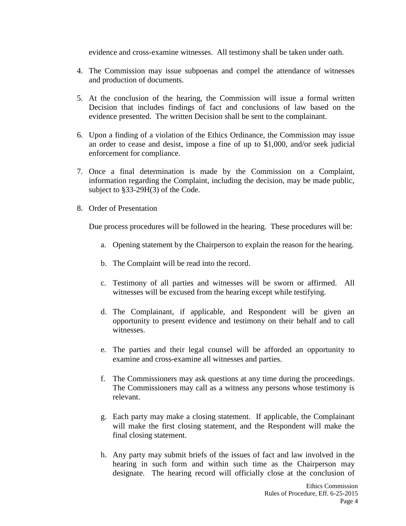evidence and cross-examine witnesses. All testimony shall be taken under oath.

- 4. The Commission may issue subpoenas and compel the attendance of witnesses and production of documents.
- 5. At the conclusion of the hearing, the Commission will issue a formal written Decision that includes findings of fact and conclusions of law based on the evidence presented. The written Decision shall be sent to the complainant.
- 6. Upon a finding of a violation of the Ethics Ordinance, the Commission may issue an order to cease and desist, impose a fine of up to \$1,000, and/or seek judicial enforcement for compliance.
- 7. Once a final determination is made by the Commission on a Complaint, information regarding the Complaint, including the decision, may be made public, subject to §33-29H(3) of the Code.
- 8. Order of Presentation

Due process procedures will be followed in the hearing. These procedures will be:

- a. Opening statement by the Chairperson to explain the reason for the hearing.
- b. The Complaint will be read into the record.
- c. Testimony of all parties and witnesses will be sworn or affirmed. All witnesses will be excused from the hearing except while testifying.
- d. The Complainant, if applicable, and Respondent will be given an opportunity to present evidence and testimony on their behalf and to call witnesses.
- e. The parties and their legal counsel will be afforded an opportunity to examine and cross-examine all witnesses and parties.
- f. The Commissioners may ask questions at any time during the proceedings. The Commissioners may call as a witness any persons whose testimony is relevant.
- g. Each party may make a closing statement. If applicable, the Complainant will make the first closing statement, and the Respondent will make the final closing statement.
- h. Any party may submit briefs of the issues of fact and law involved in the hearing in such form and within such time as the Chairperson may designate. The hearing record will officially close at the conclusion of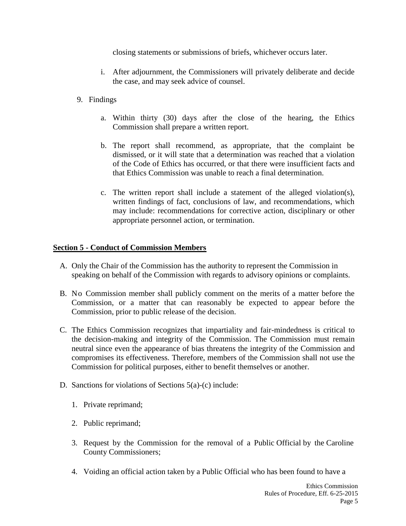closing statements or submissions of briefs, whichever occurs later.

- i. After adjournment, the Commissioners will privately deliberate and decide the case, and may seek advice of counsel.
- 9. Findings
	- a. Within thirty (30) days after the close of the hearing, the Ethics Commission shall prepare a written report.
	- b. The report shall recommend, as appropriate, that the complaint be dismissed, or it will state that a determination was reached that a violation of the Code of Ethics has occurred, or that there were insufficient facts and that Ethics Commission was unable to reach a final determination.
	- c. The written report shall include a statement of the alleged violation(s), written findings of fact, conclusions of law, and recommendations, which may include: recommendations for corrective action, disciplinary or other appropriate personnel action, or termination.

### **Section 5 - Conduct of Commission Members**

- A. Only the Chair of the Commission has the authority to represent the Commission in speaking on behalf of the Commission with regards to advisory opinions or complaints.
- B. No Commission member shall publicly comment on the merits of a matter before the Commission, or a matter that can reasonably be expected to appear before the Commission, prior to public release of the decision.
- C. The Ethics Commission recognizes that impartiality and fair-mindedness is critical to the decision-making and integrity of the Commission. The Commission must remain neutral since even the appearance of bias threatens the integrity of the Commission and compromises its effectiveness. Therefore, members of the Commission shall not use the Commission for political purposes, either to benefit themselves or another.
- D. Sanctions for violations of Sections 5(a)-(c) include:
	- 1. Private reprimand;
	- 2. Public reprimand;
	- 3. Request by the Commission for the removal of a Public Official by the Caroline County Commissioners;
	- 4. Voiding an official action taken by a Public Official who has been found to have a